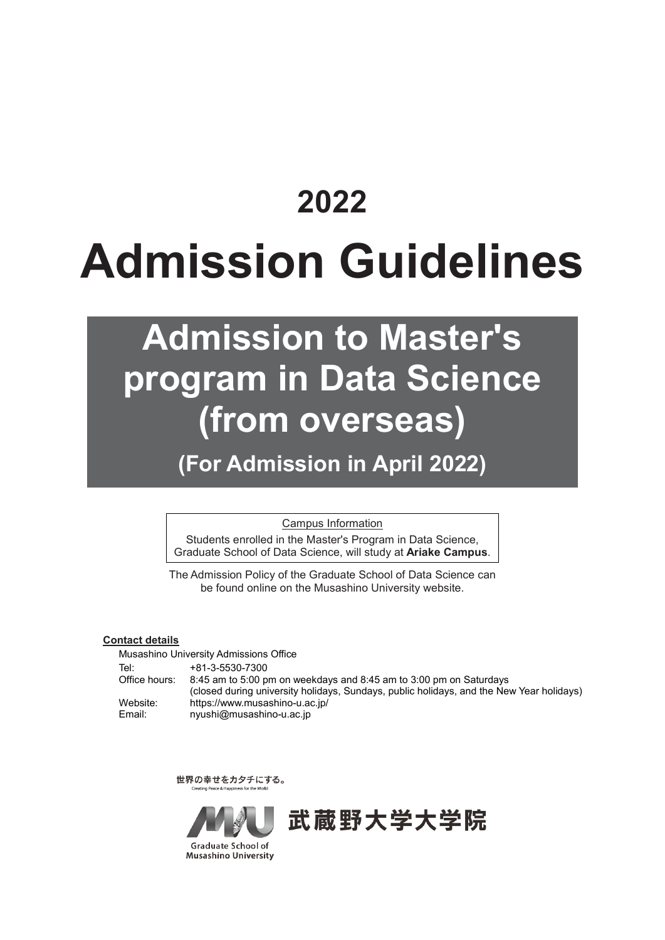# **2022 Admission Guidelines**

## **Admission to Master's program in Data Science (from overseas)**

**(For Admission in April 2022)**

Campus Information

Students enrolled in the Master's Program in Data Science, Graduate School of Data Science, will study at **Ariake Campus**.

The Admission Policy of the Graduate School of Data Science can be found online on the Musashino University website.

#### **Contact details**

Musashino University Admissions Office Tel: +81-3-5530-7300 Office hours: 8:45 am to 5:00 pm on weekdays and 8:45 am to 3:00 pm on Saturdays (closed during university holidays, Sundays, public holidays, and the New Year holidays) Website: https://www.musashino-u.ac.jp/<br>Email: nyushi@musashino-u.ac.jp nyushi@musashino-u.ac.jp

世界の幸せをカタチにする。



武蔵野大学大学院

Graduate School of **Musashino University**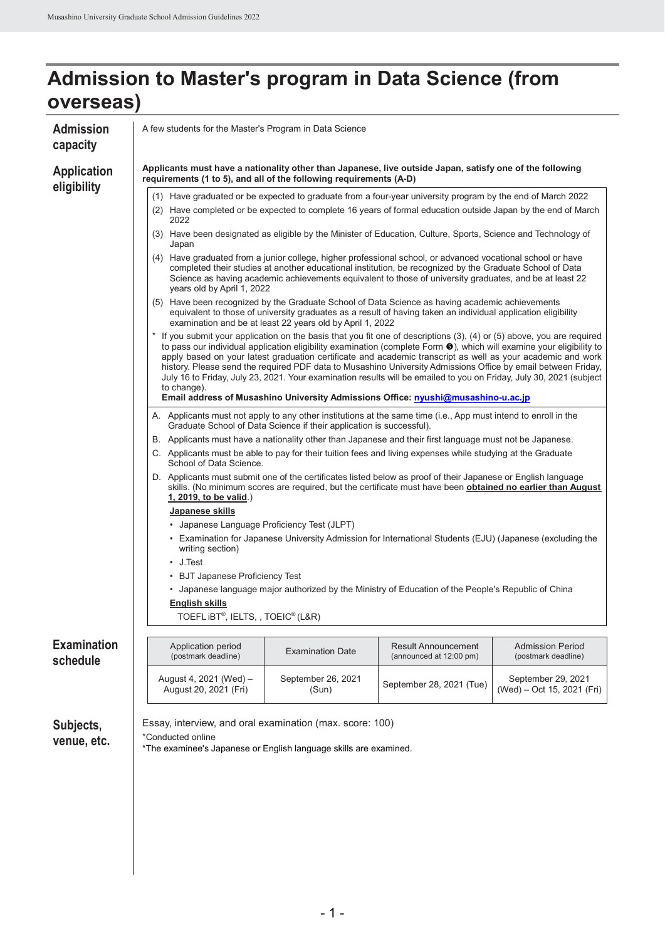| <b>Admission</b><br>capacity   | A few students for the Master's Program in Data Science                                                                                                                                                                                                                                                                                                                                                                                                                                                                                                                                                                       |                                                                      |                                                                                                                                                                                                                         |                                                |  |  |  |  |
|--------------------------------|-------------------------------------------------------------------------------------------------------------------------------------------------------------------------------------------------------------------------------------------------------------------------------------------------------------------------------------------------------------------------------------------------------------------------------------------------------------------------------------------------------------------------------------------------------------------------------------------------------------------------------|----------------------------------------------------------------------|-------------------------------------------------------------------------------------------------------------------------------------------------------------------------------------------------------------------------|------------------------------------------------|--|--|--|--|
| <b>Application</b>             | Applicants must have a nationality other than Japanese, live outside Japan, satisfy one of the following<br>requirements (1 to 5), and all of the following requirements (A-D)                                                                                                                                                                                                                                                                                                                                                                                                                                                |                                                                      |                                                                                                                                                                                                                         |                                                |  |  |  |  |
| eligibility                    | (1) Have graduated or be expected to graduate from a four-year university program by the end of March 2022<br>(2) Have completed or be expected to complete 16 years of formal education outside Japan by the end of March<br>2022                                                                                                                                                                                                                                                                                                                                                                                            |                                                                      |                                                                                                                                                                                                                         |                                                |  |  |  |  |
|                                | Japan                                                                                                                                                                                                                                                                                                                                                                                                                                                                                                                                                                                                                         |                                                                      | (3) Have been designated as eligible by the Minister of Education, Culture, Sports, Science and Technology of                                                                                                           |                                                |  |  |  |  |
|                                | (4) Have graduated from a junior college, higher professional school, or advanced vocational school or have<br>completed their studies at another educational institution, be recognized by the Graduate School of Data<br>Science as having academic achievements equivalent to those of university graduates, and be at least 22<br>years old by April 1, 2022                                                                                                                                                                                                                                                              |                                                                      |                                                                                                                                                                                                                         |                                                |  |  |  |  |
|                                | (5) Have been recognized by the Graduate School of Data Science as having academic achievements<br>equivalent to those of university graduates as a result of having taken an individual application eligibility<br>examination and be at least 22 years old by April 1, 2022                                                                                                                                                                                                                                                                                                                                                 |                                                                      |                                                                                                                                                                                                                         |                                                |  |  |  |  |
|                                | * If you submit your application on the basis that you fit one of descriptions (3), (4) or (5) above, you are required<br>to pass our individual application eligibility examination (complete Form $\bullet$ ), which will examine your eligibility to<br>apply based on your latest graduation certificate and academic transcript as well as your academic and work<br>history. Please send the required PDF data to Musashino University Admissions Office by email between Friday,<br>July 16 to Friday, July 23, 2021. Your examination results will be emailed to you on Friday, July 30, 2021 (subject<br>to change). |                                                                      |                                                                                                                                                                                                                         |                                                |  |  |  |  |
|                                |                                                                                                                                                                                                                                                                                                                                                                                                                                                                                                                                                                                                                               |                                                                      | Email address of Musashino University Admissions Office: nyushi@musashino-u.ac.jp<br>A. Applicants must not apply to any other institutions at the same time (i.e., App must intend to enroll in the                    |                                                |  |  |  |  |
|                                |                                                                                                                                                                                                                                                                                                                                                                                                                                                                                                                                                                                                                               | Graduate School of Data Science if their application is successful). |                                                                                                                                                                                                                         |                                                |  |  |  |  |
|                                |                                                                                                                                                                                                                                                                                                                                                                                                                                                                                                                                                                                                                               |                                                                      | B. Applicants must have a nationality other than Japanese and their first language must not be Japanese.<br>C. Applicants must be able to pay for their tuition fees and living expenses while studying at the Graduate |                                                |  |  |  |  |
|                                | School of Data Science.                                                                                                                                                                                                                                                                                                                                                                                                                                                                                                                                                                                                       |                                                                      |                                                                                                                                                                                                                         |                                                |  |  |  |  |
|                                | D. Applicants must submit one of the certificates listed below as proof of their Japanese or English language<br>skills. (No minimum scores are required, but the certificate must have been <b>obtained no earlier than August</b><br>1, 2019, to be valid.)                                                                                                                                                                                                                                                                                                                                                                 |                                                                      |                                                                                                                                                                                                                         |                                                |  |  |  |  |
|                                | Japanese skills                                                                                                                                                                                                                                                                                                                                                                                                                                                                                                                                                                                                               |                                                                      |                                                                                                                                                                                                                         |                                                |  |  |  |  |
|                                | • Japanese Language Proficiency Test (JLPT)                                                                                                                                                                                                                                                                                                                                                                                                                                                                                                                                                                                   |                                                                      |                                                                                                                                                                                                                         |                                                |  |  |  |  |
|                                | • Examination for Japanese University Admission for International Students (EJU) (Japanese (excluding the<br>writing section)<br>$\cdot$ J. Test                                                                                                                                                                                                                                                                                                                                                                                                                                                                              |                                                                      |                                                                                                                                                                                                                         |                                                |  |  |  |  |
|                                | • BJT Japanese Proficiency Test                                                                                                                                                                                                                                                                                                                                                                                                                                                                                                                                                                                               |                                                                      |                                                                                                                                                                                                                         |                                                |  |  |  |  |
|                                |                                                                                                                                                                                                                                                                                                                                                                                                                                                                                                                                                                                                                               |                                                                      | • Japanese language major authorized by the Ministry of Education of the People's Republic of China                                                                                                                     |                                                |  |  |  |  |
|                                | English skills                                                                                                                                                                                                                                                                                                                                                                                                                                                                                                                                                                                                                |                                                                      |                                                                                                                                                                                                                         |                                                |  |  |  |  |
|                                | $TOEFLiBT®$ , IELTS, , TOEIC $®$ (L&R)                                                                                                                                                                                                                                                                                                                                                                                                                                                                                                                                                                                        |                                                                      |                                                                                                                                                                                                                         |                                                |  |  |  |  |
| <b>Examination</b><br>schedule | Application period<br>(postmark deadline)                                                                                                                                                                                                                                                                                                                                                                                                                                                                                                                                                                                     | <b>Examination Date</b>                                              | <b>Result Announcement</b><br>(announced at 12:00 pm)                                                                                                                                                                   | <b>Admission Period</b><br>(postmark deadline) |  |  |  |  |
|                                | September 26, 2021<br>August 4, 2021 (Wed) -<br>September 29, 2021<br>September 28, 2021 (Tue)<br>August 20, 2021 (Fri)<br>(Wed) – Oct 15, 2021 (Fri)<br>(Sun)                                                                                                                                                                                                                                                                                                                                                                                                                                                                |                                                                      |                                                                                                                                                                                                                         |                                                |  |  |  |  |
| Subjects,<br>venue, etc.       | Essay, interview, and oral examination (max. score: 100)<br>*Conducted online<br>*The examinee's Japanese or English language skills are examined.                                                                                                                                                                                                                                                                                                                                                                                                                                                                            |                                                                      |                                                                                                                                                                                                                         |                                                |  |  |  |  |
|                                |                                                                                                                                                                                                                                                                                                                                                                                                                                                                                                                                                                                                                               |                                                                      |                                                                                                                                                                                                                         |                                                |  |  |  |  |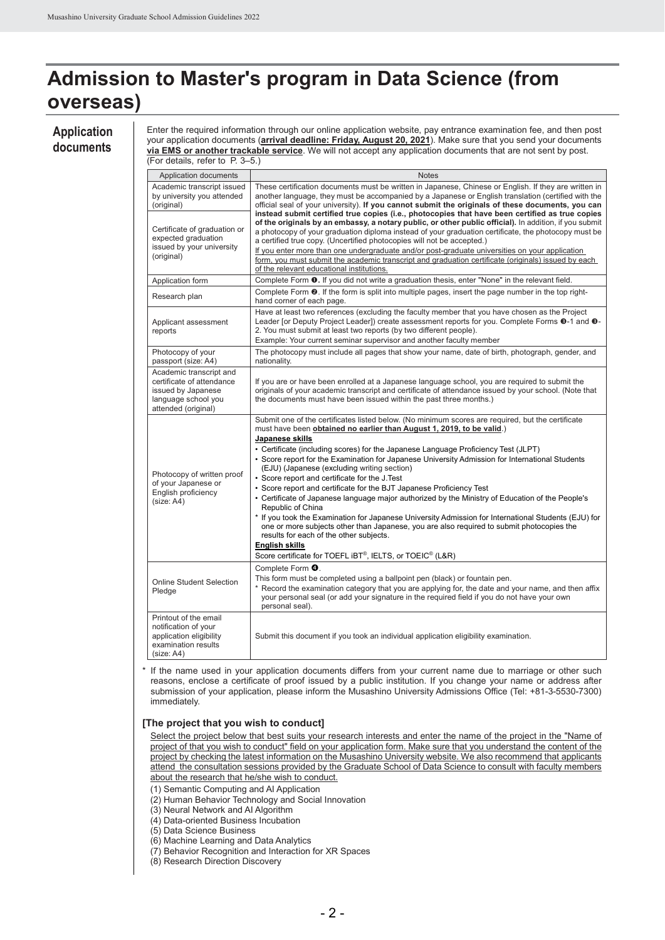#### **Application documents**

Enter the required information through our online application website, pay entrance examination fee, and then post your application documents (**arrival deadline: Friday, August 20, 2021**). Make sure that you send your documents **via EMS or another trackable service**. We will not accept any application documents that are not sent by post.

| (For details, refer to P. 3–5.)                                                                                          |                                                                                                                                                                                                                                                                                                                                                                                                                                                                                                                                                                                                                                                                                                                                                                                                                                                                                                                                                                                                                                                |
|--------------------------------------------------------------------------------------------------------------------------|------------------------------------------------------------------------------------------------------------------------------------------------------------------------------------------------------------------------------------------------------------------------------------------------------------------------------------------------------------------------------------------------------------------------------------------------------------------------------------------------------------------------------------------------------------------------------------------------------------------------------------------------------------------------------------------------------------------------------------------------------------------------------------------------------------------------------------------------------------------------------------------------------------------------------------------------------------------------------------------------------------------------------------------------|
| Application documents                                                                                                    | <b>Notes</b>                                                                                                                                                                                                                                                                                                                                                                                                                                                                                                                                                                                                                                                                                                                                                                                                                                                                                                                                                                                                                                   |
| Academic transcript issued<br>by university you attended<br>(original)<br>Certificate of graduation or                   | These certification documents must be written in Japanese, Chinese or English. If they are written in<br>another language, they must be accompanied by a Japanese or English translation (certified with the<br>official seal of your university). If you cannot submit the originals of these documents, you can<br>instead submit certified true copies (i.e., photocopies that have been certified as true copies<br>of the originals by an embassy, a notary public, or other public official). In addition, if you submit<br>a photocopy of your graduation diploma instead of your graduation certificate, the photocopy must be                                                                                                                                                                                                                                                                                                                                                                                                         |
| expected graduation<br>issued by your university<br>(original)                                                           | a certified true copy. (Uncertified photocopies will not be accepted.)<br>If you enter more than one undergraduate and/or post-graduate universities on your application<br>form, you must submit the academic transcript and graduation certificate (originals) issued by each<br>of the relevant educational institutions.                                                                                                                                                                                                                                                                                                                                                                                                                                                                                                                                                                                                                                                                                                                   |
| Application form                                                                                                         | Complete Form <b>0.</b> If you did not write a graduation thesis, enter "None" in the relevant field.                                                                                                                                                                                                                                                                                                                                                                                                                                                                                                                                                                                                                                                                                                                                                                                                                                                                                                                                          |
| Research plan                                                                                                            | Complete Form $\odot$ . If the form is split into multiple pages, insert the page number in the top right-<br>hand corner of each page.                                                                                                                                                                                                                                                                                                                                                                                                                                                                                                                                                                                                                                                                                                                                                                                                                                                                                                        |
| Applicant assessment<br>reports                                                                                          | Have at least two references (excluding the faculty member that you have chosen as the Project<br>Leader [or Deputy Project Leader]) create assessment reports for you. Complete Forms <sup>@</sup> -1 and <sup>@</sup> -<br>2. You must submit at least two reports (by two different people).<br>Example: Your current seminar supervisor and another faculty member                                                                                                                                                                                                                                                                                                                                                                                                                                                                                                                                                                                                                                                                         |
| Photocopy of your<br>passport (size: A4)                                                                                 | The photocopy must include all pages that show your name, date of birth, photograph, gender, and<br>nationality.                                                                                                                                                                                                                                                                                                                                                                                                                                                                                                                                                                                                                                                                                                                                                                                                                                                                                                                               |
| Academic transcript and<br>certificate of attendance<br>issued by Japanese<br>language school you<br>attended (original) | If you are or have been enrolled at a Japanese language school, you are required to submit the<br>originals of your academic transcript and certificate of attendance issued by your school. (Note that<br>the documents must have been issued within the past three months.)                                                                                                                                                                                                                                                                                                                                                                                                                                                                                                                                                                                                                                                                                                                                                                  |
| Photocopy of written proof<br>of your Japanese or<br>English proficiency<br>(size: A4)                                   | Submit one of the certificates listed below. (No minimum scores are required, but the certificate<br>must have been obtained no earlier than August 1, 2019, to be valid.)<br>Japanese skills<br>• Certificate (including scores) for the Japanese Language Proficiency Test (JLPT)<br>• Score report for the Examination for Japanese University Admission for International Students<br>(EJU) (Japanese (excluding writing section)<br>• Score report and certificate for the J.Test<br>• Score report and certificate for the BJT Japanese Proficiency Test<br>• Certificate of Japanese language major authorized by the Ministry of Education of the People's<br>Republic of China<br>* If you took the Examination for Japanese University Admission for International Students (EJU) for<br>one or more subjects other than Japanese, you are also required to submit photocopies the<br>results for each of the other subjects.<br>English skills<br>Score certificate for TOEFL iBT <sup>®</sup> , IELTS, or TOEIC <sup>®</sup> (L&R) |
| <b>Online Student Selection</b><br>Pledge                                                                                | Complete Form <sup>4</sup> .<br>This form must be completed using a ballpoint pen (black) or fountain pen.<br>$^{\star}$<br>Record the examination category that you are applying for, the date and your name, and then affix<br>your personal seal (or add your signature in the required field if you do not have your own<br>personal seal).                                                                                                                                                                                                                                                                                                                                                                                                                                                                                                                                                                                                                                                                                                |
| Printout of the email<br>notification of your<br>application eligibility<br>examination results<br>(size: A4)            | Submit this document if you took an individual application eligibility examination.                                                                                                                                                                                                                                                                                                                                                                                                                                                                                                                                                                                                                                                                                                                                                                                                                                                                                                                                                            |

\* If the name used in your application documents differs from your current name due to marriage or other such reasons, enclose a certificate of proof issued by a public institution. If you change your name or address after submission of your application, please inform the Musashino University Admissions Office (Tel: +81-3-5530-7300) immediately.

#### **[The project that you wish to conduct]**

Select the project below that best suits your research interests and enter the name of the project in the "Name of project of that you wish to conduct" field on your application form. Make sure that you understand the content of the project by checking the latest information on the Musashino University website. We also recommend that applicants attend the consultation sessions provided by the Graduate School of Data Science to consult with faculty members about the research that he/she wish to conduct.

(1) Semantic Computing and AI Application

- (2) Human Behavior Technology and Social Innovation
- (3) Neural Network and AI Algorithm

(4) Data-oriented Business Incubation

- (5) Data Science Business
- (6) Machine Learning and Data Analytics
- (7) Behavior Recognition and Interaction for XR Spaces

(8) Research Direction Discovery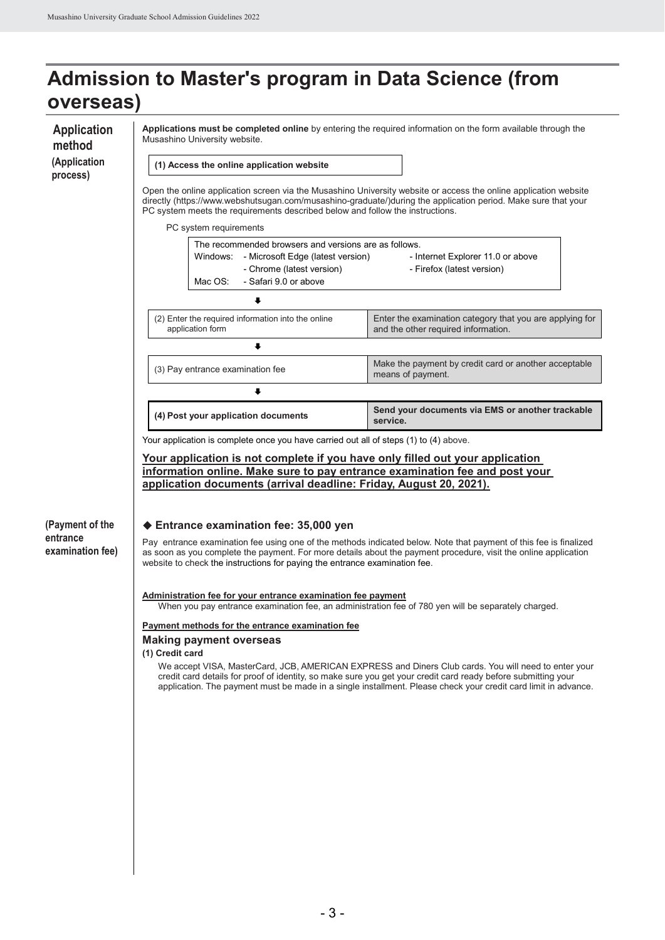| <b>Application</b><br>method                    | Musashino University website.                                                                                                                                                                                                                                                  | Applications must be completed online by entering the required information on the form available through the                                                                                                                                                                                                                            |  |  |
|-------------------------------------------------|--------------------------------------------------------------------------------------------------------------------------------------------------------------------------------------------------------------------------------------------------------------------------------|-----------------------------------------------------------------------------------------------------------------------------------------------------------------------------------------------------------------------------------------------------------------------------------------------------------------------------------------|--|--|
| (Application<br>process)                        | (1) Access the online application website                                                                                                                                                                                                                                      |                                                                                                                                                                                                                                                                                                                                         |  |  |
|                                                 | PC system meets the requirements described below and follow the instructions.                                                                                                                                                                                                  | Open the online application screen via the Musashino University website or access the online application website<br>directly (https://www.webshutsugan.com/musashino-graduate/)during the application period. Make sure that your                                                                                                       |  |  |
|                                                 | PC system requirements                                                                                                                                                                                                                                                         |                                                                                                                                                                                                                                                                                                                                         |  |  |
|                                                 | The recommended browsers and versions are as follows.<br>- Microsoft Edge (latest version)<br>Windows:<br>- Chrome (latest version)<br>- Safari 9.0 or above<br>Mac OS:                                                                                                        | - Internet Explorer 11.0 or above<br>- Firefox (latest version)                                                                                                                                                                                                                                                                         |  |  |
|                                                 | ∔                                                                                                                                                                                                                                                                              |                                                                                                                                                                                                                                                                                                                                         |  |  |
|                                                 | (2) Enter the required information into the online<br>application form                                                                                                                                                                                                         | Enter the examination category that you are applying for<br>and the other required information.                                                                                                                                                                                                                                         |  |  |
|                                                 | ↓                                                                                                                                                                                                                                                                              |                                                                                                                                                                                                                                                                                                                                         |  |  |
|                                                 | (3) Pay entrance examination fee                                                                                                                                                                                                                                               | Make the payment by credit card or another acceptable<br>means of payment.                                                                                                                                                                                                                                                              |  |  |
|                                                 | ∔                                                                                                                                                                                                                                                                              |                                                                                                                                                                                                                                                                                                                                         |  |  |
|                                                 | (4) Post your application documents                                                                                                                                                                                                                                            | Send your documents via EMS or another trackable<br>service.                                                                                                                                                                                                                                                                            |  |  |
| (Payment of the<br>entrance<br>examination fee) | information online. Make sure to pay entrance examination fee and post your<br>application documents (arrival deadline: Friday, August 20, 2021).<br>♦ Entrance examination fee: 35,000 yen                                                                                    | Pay entrance examination fee using one of the methods indicated below. Note that payment of this fee is finalized<br>as soon as you complete the payment. For more details about the payment procedure, visit the online application                                                                                                    |  |  |
|                                                 | Administration fee for your entrance examination fee payment<br>When you pay entrance examination fee, an administration fee of 780 yen will be separately charged.                                                                                                            |                                                                                                                                                                                                                                                                                                                                         |  |  |
|                                                 | Payment methods for the entrance examination fee<br><b>Making payment overseas</b>                                                                                                                                                                                             |                                                                                                                                                                                                                                                                                                                                         |  |  |
|                                                 |                                                                                                                                                                                                                                                                                | We accept VISA, MasterCard, JCB, AMERICAN EXPRESS and Diners Club cards. You will need to enter your<br>credit card details for proof of identity, so make sure you get your credit card ready before submitting your<br>application. The payment must be made in a single installment. Please check your credit card limit in advance. |  |  |
|                                                 |                                                                                                                                                                                                                                                                                |                                                                                                                                                                                                                                                                                                                                         |  |  |
|                                                 |                                                                                                                                                                                                                                                                                |                                                                                                                                                                                                                                                                                                                                         |  |  |
|                                                 |                                                                                                                                                                                                                                                                                |                                                                                                                                                                                                                                                                                                                                         |  |  |
|                                                 | Your application is complete once you have carried out all of steps (1) to (4) above.<br><u>Your application is not complete if you have only filled out your application</u><br>website to check the instructions for paying the entrance examination fee.<br>(1) Credit card |                                                                                                                                                                                                                                                                                                                                         |  |  |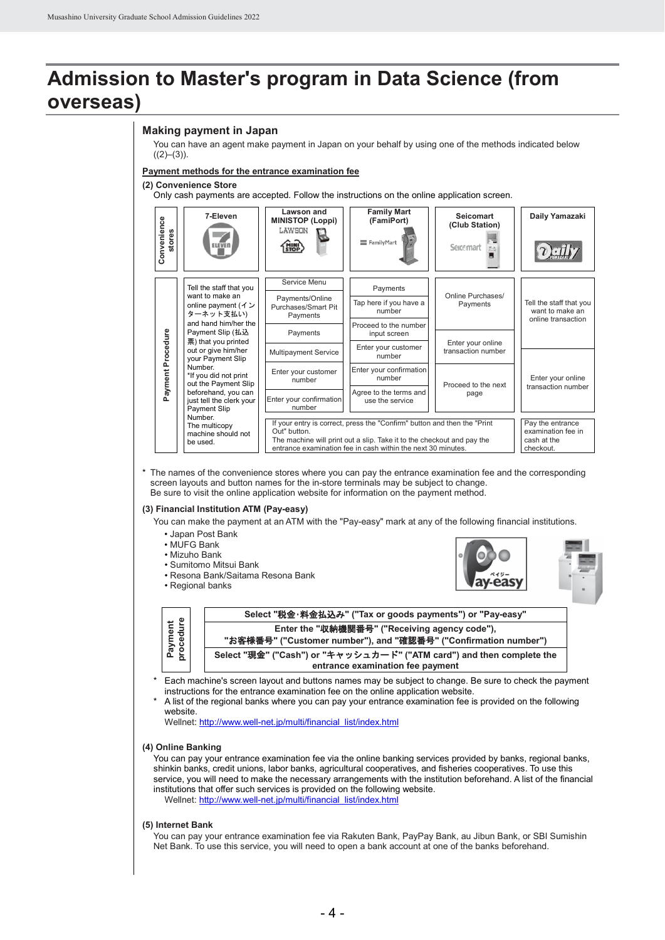#### **Making payment in Japan**

You can have an agent make payment in Japan on your behalf by using one of the methods indicated below  $((2)–(3))$ .

#### **Payment methods for the entrance examination fee**

#### **(2) Convenience Store**

Only cash payments are accepted. Follow the instructions on the online application screen.



\* The names of the convenience stores where you can pay the entrance examination fee and the corresponding screen layouts and button names for the in-store terminals may be subject to change. Be sure to visit the online application website for information on the payment method.

#### **(3) Financial Institution ATM (Pay-easy)**

You can make the payment at an ATM with the "Pay-easy" mark at any of the following financial institutions.

- Japan Post Bank
- MUFG Bank
- Mizuho Bank
- Sumitomo Mitsui Bank
- Resona Bank/Saitama Resona Bank
- Regional banks





Each machine's screen layout and buttons names may be subject to change. Be sure to check the payment instructions for the entrance examination fee on the online application website.

A list of the regional banks where you can pay your entrance examination fee is provided on the following website.

Wellnet[: http://www.well-net.jp/multi/financial\\_list/index.html](http://www.well-net.jp/multi/financial_list/index.html)

#### **(4) Online Banking**

Payment<br>procedure

You can pay your entrance examination fee via the online banking services provided by banks, regional banks, shinkin banks, credit unions, labor banks, agricultural cooperatives, and fisheries cooperatives. To use this service, you will need to make the necessary arrangements with the institution beforehand. A list of the financial institutions that offer such services is provided on the following website. Wellnet[: http://www.well-net.jp/multi/financial\\_list/index.html](http://www.well-net.jp/multi/financial_list/index.html)

#### **(5) Internet Bank**

You can pay your entrance examination fee via Rakuten Bank, PayPay Bank, au Jibun Bank, or SBI Sumishin Net Bank. To use this service, you will need to open a bank account at one of the banks beforehand.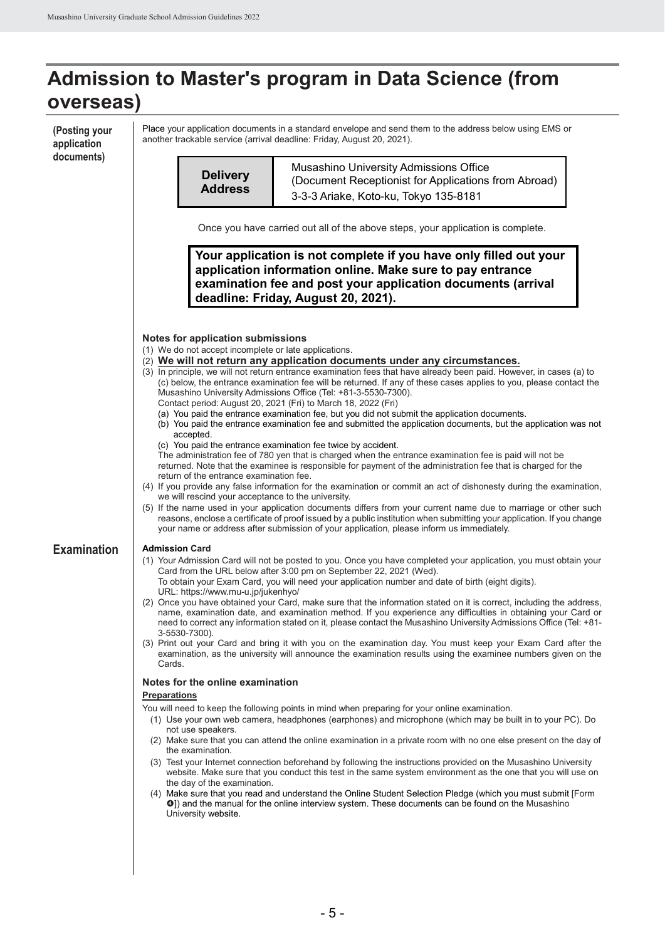**(Posting your application documents)**

Place your application documents in a standard envelope and send them to the address below using EMS or another trackable service (arrival deadline: Friday, August 20, 2021).

| documents)         |                                                                                                                                                                                                                                                                                                                                                                                                                                                                                                                                                      |                                                                                                                                                                                                                                                                                                                                                            |  |  |  |  |  |  |
|--------------------|------------------------------------------------------------------------------------------------------------------------------------------------------------------------------------------------------------------------------------------------------------------------------------------------------------------------------------------------------------------------------------------------------------------------------------------------------------------------------------------------------------------------------------------------------|------------------------------------------------------------------------------------------------------------------------------------------------------------------------------------------------------------------------------------------------------------------------------------------------------------------------------------------------------------|--|--|--|--|--|--|
|                    |                                                                                                                                                                                                                                                                                                                                                                                                                                                                                                                                                      | Musashino University Admissions Office                                                                                                                                                                                                                                                                                                                     |  |  |  |  |  |  |
|                    | <b>Delivery</b>                                                                                                                                                                                                                                                                                                                                                                                                                                                                                                                                      | (Document Receptionist for Applications from Abroad)                                                                                                                                                                                                                                                                                                       |  |  |  |  |  |  |
|                    | <b>Address</b>                                                                                                                                                                                                                                                                                                                                                                                                                                                                                                                                       | 3-3-3 Ariake, Koto-ku, Tokyo 135-8181                                                                                                                                                                                                                                                                                                                      |  |  |  |  |  |  |
|                    |                                                                                                                                                                                                                                                                                                                                                                                                                                                                                                                                                      |                                                                                                                                                                                                                                                                                                                                                            |  |  |  |  |  |  |
|                    |                                                                                                                                                                                                                                                                                                                                                                                                                                                                                                                                                      | Once you have carried out all of the above steps, your application is complete.                                                                                                                                                                                                                                                                            |  |  |  |  |  |  |
|                    |                                                                                                                                                                                                                                                                                                                                                                                                                                                                                                                                                      | Your application is not complete if you have only filled out your<br>application information online. Make sure to pay entrance<br>examination fee and post your application documents (arrival<br>deadline: Friday, August 20, 2021).                                                                                                                      |  |  |  |  |  |  |
|                    | Notes for application submissions<br>(1) We do not accept incomplete or late applications.                                                                                                                                                                                                                                                                                                                                                                                                                                                           | (2) We will not return any application documents under any circumstances.<br>(3) In principle, we will not return entrance examination fees that have already been paid. However, in cases (a) to                                                                                                                                                          |  |  |  |  |  |  |
|                    | (c) below, the entrance examination fee will be returned. If any of these cases applies to you, please contact the<br>Musashino University Admissions Office (Tel: +81-3-5530-7300).<br>Contact period: August 20, 2021 (Fri) to March 18, 2022 (Fri)<br>(a) You paid the entrance examination fee, but you did not submit the application documents.<br>(b) You paid the entrance examination fee and submitted the application documents, but the application was not<br>accepted.<br>(c) You paid the entrance examination fee twice by accident. |                                                                                                                                                                                                                                                                                                                                                            |  |  |  |  |  |  |
|                    | The administration fee of 780 yen that is charged when the entrance examination fee is paid will not be<br>returned. Note that the examinee is responsible for payment of the administration fee that is charged for the<br>return of the entrance examination fee.<br>(4) If you provide any false information for the examination or commit an act of dishonesty during the examination,<br>we will rescind your acceptance to the university.                                                                                                     |                                                                                                                                                                                                                                                                                                                                                            |  |  |  |  |  |  |
|                    | (5) If the name used in your application documents differs from your current name due to marriage or other such<br>reasons, enclose a certificate of proof issued by a public institution when submitting your application. If you change<br>your name or address after submission of your application, please inform us immediately.                                                                                                                                                                                                                |                                                                                                                                                                                                                                                                                                                                                            |  |  |  |  |  |  |
| <b>Examination</b> | <b>Admission Card</b>                                                                                                                                                                                                                                                                                                                                                                                                                                                                                                                                |                                                                                                                                                                                                                                                                                                                                                            |  |  |  |  |  |  |
|                    | (1) Your Admission Card will not be posted to you. Once you have completed your application, you must obtain your<br>Card from the URL below after 3:00 pm on September 22, 2021 (Wed).                                                                                                                                                                                                                                                                                                                                                              |                                                                                                                                                                                                                                                                                                                                                            |  |  |  |  |  |  |
|                    | URL: https://www.mu-u.jp/jukenhyo/                                                                                                                                                                                                                                                                                                                                                                                                                                                                                                                   | To obtain your Exam Card, you will need your application number and date of birth (eight digits).                                                                                                                                                                                                                                                          |  |  |  |  |  |  |
|                    | 3-5530-7300).                                                                                                                                                                                                                                                                                                                                                                                                                                                                                                                                        | (2) Once you have obtained your Card, make sure that the information stated on it is correct, including the address,<br>name, examination date, and examination method. If you experience any difficulties in obtaining your Card or<br>need to correct any information stated on it, please contact the Musashino University Admissions Office (Tel: +81- |  |  |  |  |  |  |
|                    | (3) Print out your Card and bring it with you on the examination day. You must keep your Exam Card after the<br>examination, as the university will announce the examination results using the examinee numbers given on the<br>Cards.                                                                                                                                                                                                                                                                                                               |                                                                                                                                                                                                                                                                                                                                                            |  |  |  |  |  |  |
|                    | Notes for the online examination                                                                                                                                                                                                                                                                                                                                                                                                                                                                                                                     |                                                                                                                                                                                                                                                                                                                                                            |  |  |  |  |  |  |
|                    | <b>Preparations</b>                                                                                                                                                                                                                                                                                                                                                                                                                                                                                                                                  |                                                                                                                                                                                                                                                                                                                                                            |  |  |  |  |  |  |
|                    |                                                                                                                                                                                                                                                                                                                                                                                                                                                                                                                                                      | You will need to keep the following points in mind when preparing for your online examination.<br>(1) Use your own web camera, headphones (earphones) and microphone (which may be built in to your PC). Do                                                                                                                                                |  |  |  |  |  |  |
|                    | not use speakers.                                                                                                                                                                                                                                                                                                                                                                                                                                                                                                                                    |                                                                                                                                                                                                                                                                                                                                                            |  |  |  |  |  |  |
|                    | the examination.                                                                                                                                                                                                                                                                                                                                                                                                                                                                                                                                     | (2) Make sure that you can attend the online examination in a private room with no one else present on the day of                                                                                                                                                                                                                                          |  |  |  |  |  |  |
|                    |                                                                                                                                                                                                                                                                                                                                                                                                                                                                                                                                                      | (3) Test your Internet connection beforehand by following the instructions provided on the Musashino University<br>website. Make sure that you conduct this test in the same system environment as the one that you will use on                                                                                                                            |  |  |  |  |  |  |
|                    | the day of the examination.<br>University website.                                                                                                                                                                                                                                                                                                                                                                                                                                                                                                   | (4) Make sure that you read and understand the Online Student Selection Pledge (which you must submit [Form<br>0]) and the manual for the online interview system. These documents can be found on the Musashino                                                                                                                                           |  |  |  |  |  |  |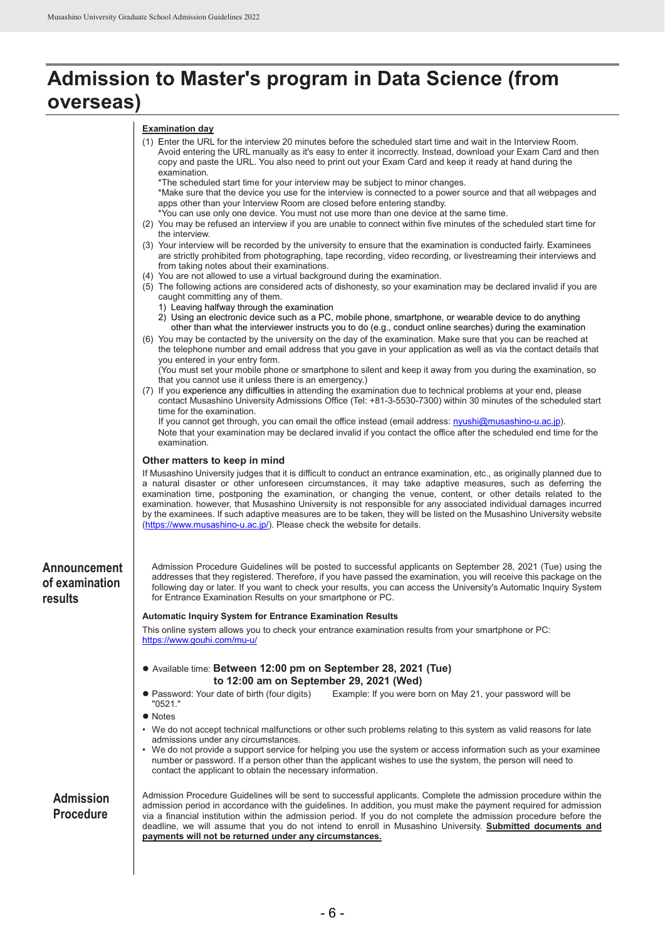### **Admission to Master's program in Data Science (from overseas)**

#### **Examination day**

|                                           | (1) Enter the URL for the interview 20 minutes before the scheduled start time and wait in the Interview Room.<br>Avoid entering the URL manually as it's easy to enter it incorrectly. Instead, download your Exam Card and then<br>copy and paste the URL. You also need to print out your Exam Card and keep it ready at hand during the<br>examination.<br>*The scheduled start time for your interview may be subject to minor changes.<br>*Make sure that the device you use for the interview is connected to a power source and that all webpages and<br>apps other than your Interview Room are closed before entering standby.<br>*You can use only one device. You must not use more than one device at the same time.<br>(2) You may be refused an interview if you are unable to connect within five minutes of the scheduled start time for |
|-------------------------------------------|-----------------------------------------------------------------------------------------------------------------------------------------------------------------------------------------------------------------------------------------------------------------------------------------------------------------------------------------------------------------------------------------------------------------------------------------------------------------------------------------------------------------------------------------------------------------------------------------------------------------------------------------------------------------------------------------------------------------------------------------------------------------------------------------------------------------------------------------------------------|
|                                           | the interview.<br>(3) Your interview will be recorded by the university to ensure that the examination is conducted fairly. Examinees<br>are strictly prohibited from photographing, tape recording, video recording, or livestreaming their interviews and<br>from taking notes about their examinations.                                                                                                                                                                                                                                                                                                                                                                                                                                                                                                                                                |
|                                           | (4) You are not allowed to use a virtual background during the examination.<br>(5) The following actions are considered acts of dishonesty, so your examination may be declared invalid if you are<br>caught committing any of them.<br>1) Leaving halfway through the examination<br>2) Using an electronic device such as a PC, mobile phone, smartphone, or wearable device to do anything<br>other than what the interviewer instructs you to do (e.g., conduct online searches) during the examination                                                                                                                                                                                                                                                                                                                                               |
|                                           | (6) You may be contacted by the university on the day of the examination. Make sure that you can be reached at<br>the telephone number and email address that you gave in your application as well as via the contact details that<br>you entered in your entry form.                                                                                                                                                                                                                                                                                                                                                                                                                                                                                                                                                                                     |
|                                           | (You must set your mobile phone or smartphone to silent and keep it away from you during the examination, so<br>that you cannot use it unless there is an emergency.)<br>(7) If you experience any difficulties in attending the examination due to technical problems at your end, please<br>contact Musashino University Admissions Office (Tel: +81-3-5530-7300) within 30 minutes of the scheduled start<br>time for the examination.                                                                                                                                                                                                                                                                                                                                                                                                                 |
|                                           | If you cannot get through, you can email the office instead (email address: nyushi@musashino-u.ac.jp).<br>Note that your examination may be declared invalid if you contact the office after the scheduled end time for the<br>examination.                                                                                                                                                                                                                                                                                                                                                                                                                                                                                                                                                                                                               |
|                                           | Other matters to keep in mind<br>If Musashino University judges that it is difficult to conduct an entrance examination, etc., as originally planned due to<br>a natural disaster or other unforeseen circumstances, it may take adaptive measures, such as deferring the<br>examination time, postponing the examination, or changing the venue, content, or other details related to the<br>examination. however, that Musashino University is not responsible for any associated individual damages incurred<br>by the examinees. If such adaptive measures are to be taken, they will be listed on the Musashino University website<br>(https://www.musashino-u.ac.jp/). Please check the website for details.                                                                                                                                        |
| Announcement<br>of examination<br>results | Admission Procedure Guidelines will be posted to successful applicants on September 28, 2021 (Tue) using the<br>addresses that they registered. Therefore, if you have passed the examination, you will receive this package on the<br>following day or later. If you want to check your results, you can access the University's Automatic Inquiry System<br>for Entrance Examination Results on your smartphone or PC.                                                                                                                                                                                                                                                                                                                                                                                                                                  |
|                                           | <b>Automatic Inquiry System for Entrance Examination Results</b>                                                                                                                                                                                                                                                                                                                                                                                                                                                                                                                                                                                                                                                                                                                                                                                          |
|                                           | This online system allows you to check your entrance examination results from your smartphone or PC:<br>https://www.gouhi.com/mu-u/                                                                                                                                                                                                                                                                                                                                                                                                                                                                                                                                                                                                                                                                                                                       |
|                                           | • Available time: Between 12:00 pm on September 28, 2021 (Tue)<br>to 12:00 am on September 29, 2021 (Wed)                                                                                                                                                                                                                                                                                                                                                                                                                                                                                                                                                                                                                                                                                                                                                 |
|                                           | · Password: Your date of birth (four digits)<br>Example: If you were born on May 21, your password will be<br>"0521."                                                                                                                                                                                                                                                                                                                                                                                                                                                                                                                                                                                                                                                                                                                                     |
|                                           | • Notes                                                                                                                                                                                                                                                                                                                                                                                                                                                                                                                                                                                                                                                                                                                                                                                                                                                   |
|                                           | • We do not accept technical malfunctions or other such problems relating to this system as valid reasons for late<br>admissions under any circumstances.<br>• We do not provide a support service for helping you use the system or access information such as your examinee<br>number or password. If a person other than the applicant wishes to use the system, the person will need to<br>contact the applicant to obtain the necessary information.                                                                                                                                                                                                                                                                                                                                                                                                 |
| <b>Admission</b><br><b>Procedure</b>      | Admission Procedure Guidelines will be sent to successful applicants. Complete the admission procedure within the<br>admission period in accordance with the guidelines. In addition, you must make the payment required for admission<br>via a financial institution within the admission period. If you do not complete the admission procedure before the<br>deadline, we will assume that you do not intend to enroll in Musashino University. Submitted documents and<br>payments will not be returned under any circumstances.                                                                                                                                                                                                                                                                                                                      |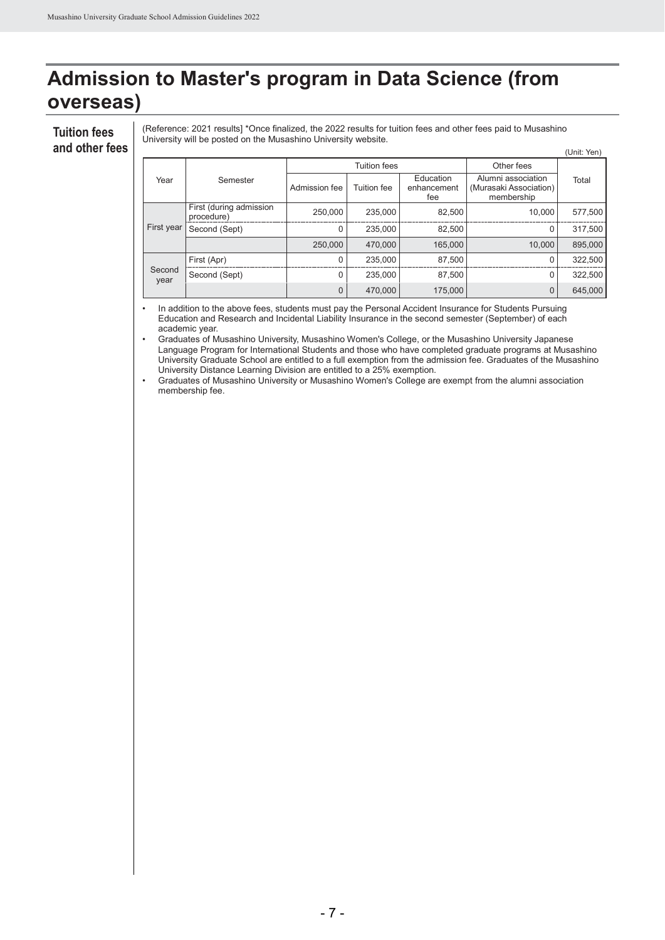#### **Tuition fees and other fees**

(Reference: 2021 results] \*Once finalized, the 2022 results for tuition fees and other fees paid to Musashino University will be posted on the Musashino University website.

|                |                                       |               |              |                                 |                                                            | (Unit: Yen) |
|----------------|---------------------------------------|---------------|--------------|---------------------------------|------------------------------------------------------------|-------------|
|                |                                       |               | Tuition fees | Other fees                      |                                                            |             |
| Year           | Semester                              | Admission fee | Tuition fee  | Education<br>enhancement<br>fee | Alumni association<br>(Murasaki Association)<br>membership | Total       |
| First year     | First (during admission<br>procedure) | 250,000       | 235,000      | 82,500                          | 10.000                                                     | 577,500     |
|                | Second (Sept)                         | 0             | 235,000      | 82.500                          | 0                                                          | 317,500     |
|                |                                       | 250,000       | 470,000      | 165,000                         | 10.000                                                     | 895,000     |
|                | First (Apr)                           | $\Omega$      | 235,000      | 87,500                          | 0                                                          | 322,500     |
| Second<br>year | Second (Sept)                         | $\Omega$      | 235.000      | 87,500                          | 0                                                          | 322,500     |
|                |                                       | 0             | 470,000      | 175,000                         | 0                                                          | 645,000     |

In addition to the above fees, students must pay the Personal Accident Insurance for Students Pursuing Education and Research and Incidental Liability Insurance in the second semester (September) of each academic year.

• Graduates of Musashino University, Musashino Women's College, or the Musashino University Japanese Language Program for International Students and those who have completed graduate programs at Musashino University Graduate School are entitled to a full exemption from the admission fee. Graduates of the Musashino University Distance Learning Division are entitled to a 25% exemption.

• Graduates of Musashino University or Musashino Women's College are exempt from the alumni association membership fee.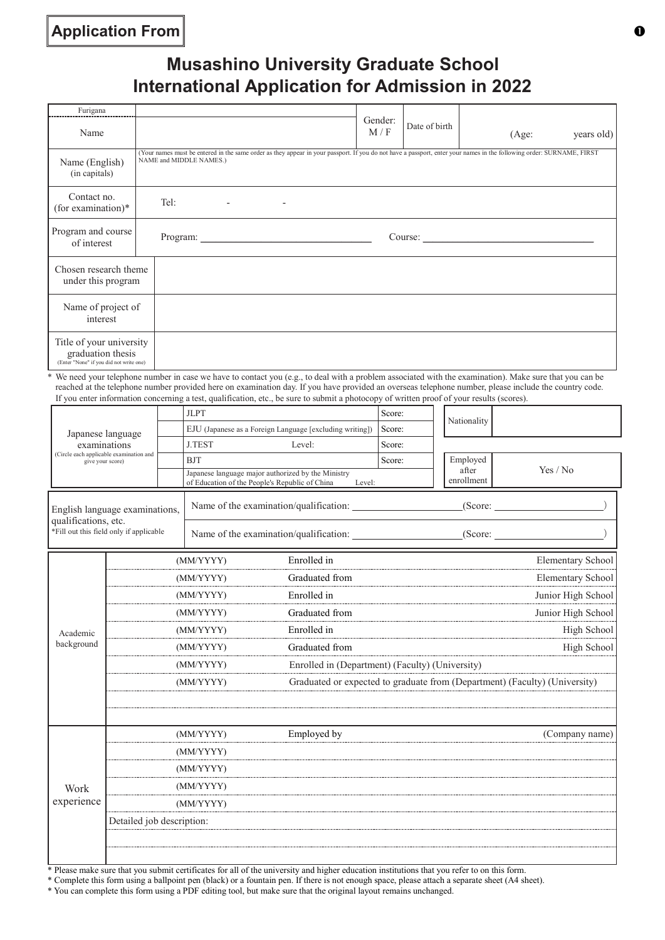### **Application From**

### **Musashino University Graduate School International Application for Admission in 2022**

| Furigana                                                                                 |                                                                                                                                                                                                  |                |               |                     |
|------------------------------------------------------------------------------------------|--------------------------------------------------------------------------------------------------------------------------------------------------------------------------------------------------|----------------|---------------|---------------------|
| Name                                                                                     |                                                                                                                                                                                                  | Gender:<br>M/F | Date of birth | years old)<br>(Age: |
| Name (English)<br>(in capitals)                                                          | (Your names must be entered in the same order as they appear in your passport. If you do not have a passport, enter your names in the following order: SURNAME, FIRST<br>NAME and MIDDLE NAMES.) |                |               |                     |
| Contact no.<br>(for examination)*                                                        | Tel:<br>$\overline{\phantom{a}}$                                                                                                                                                                 |                |               |                     |
| Program and course<br>of interest                                                        |                                                                                                                                                                                                  |                |               |                     |
| Chosen research theme<br>under this program                                              |                                                                                                                                                                                                  |                |               |                     |
| Name of project of<br>interest                                                           |                                                                                                                                                                                                  |                |               |                     |
| Title of your university<br>graduation thesis<br>(Enter "None" if you did not write one) |                                                                                                                                                                                                  |                |               |                     |

\* We need your telephone number in case we have to contact you (e.g., to deal with a problem associated with the examination). Make sure that you can be reached at the telephone number provided here on examination day. If you have provided an overseas telephone number, please include the country code. If you enter information concerning a test, qualification, etc., be sure to submit a photocopy of written proof of your results (scores).

|                                                             |                           |  | <b>JLPT</b>                            |                                                                                                                | Score:                                                                     | Nationality         |                    |  |  |
|-------------------------------------------------------------|---------------------------|--|----------------------------------------|----------------------------------------------------------------------------------------------------------------|----------------------------------------------------------------------------|---------------------|--------------------|--|--|
| Japanese language                                           |                           |  |                                        | EJU (Japanese as a Foreign Language [excluding writing])                                                       | Score:                                                                     |                     |                    |  |  |
| examinations                                                |                           |  | <b>J.TEST</b>                          | Level:                                                                                                         | Score:                                                                     |                     |                    |  |  |
| (Circle each applicable examination and<br>give your score) |                           |  | <b>BJT</b>                             |                                                                                                                | Score:                                                                     | Employed            |                    |  |  |
|                                                             |                           |  |                                        | Japanese language major authorized by the Ministry<br>of Education of the People's Republic of China<br>Level: |                                                                            | after<br>enrollment | Yes / No           |  |  |
| English language examinations,<br>qualifications, etc.      |                           |  | Name of the examination/qualification: |                                                                                                                | (Score:                                                                    |                     |                    |  |  |
| *Fill out this field only if applicable                     |                           |  |                                        | Name of the examination/qualification:                                                                         |                                                                            | (Score:             |                    |  |  |
|                                                             |                           |  | (MM/YYYY)                              | Enrolled in                                                                                                    |                                                                            |                     | Elementary School  |  |  |
|                                                             |                           |  | (MM/YYYY)                              | Graduated from                                                                                                 |                                                                            |                     | Elementary School  |  |  |
|                                                             | (MM/YYYY)                 |  |                                        | Enrolled in                                                                                                    |                                                                            |                     | Junior High School |  |  |
|                                                             | (MM/YYYY)                 |  |                                        | Graduated from                                                                                                 |                                                                            |                     | Junior High School |  |  |
| Academic                                                    | (MM/YYYY)                 |  |                                        | Enrolled in                                                                                                    |                                                                            |                     | High School        |  |  |
| background                                                  | (MM/YYYY)                 |  |                                        | Graduated from                                                                                                 |                                                                            |                     | High School        |  |  |
|                                                             | (MM/YYYY)                 |  |                                        |                                                                                                                | Enrolled in (Department) (Faculty) (University)                            |                     |                    |  |  |
|                                                             | (MM/YYYY)                 |  |                                        |                                                                                                                | Graduated or expected to graduate from (Department) (Faculty) (University) |                     |                    |  |  |
|                                                             |                           |  |                                        |                                                                                                                |                                                                            |                     |                    |  |  |
|                                                             |                           |  | (MM/YYYY)                              | Employed by                                                                                                    |                                                                            |                     | (Company name)     |  |  |
|                                                             |                           |  | (MM/YYYY)                              |                                                                                                                |                                                                            |                     |                    |  |  |
|                                                             | (MM/YYYY)                 |  |                                        |                                                                                                                |                                                                            |                     |                    |  |  |
| Work                                                        | (MM/YYYY)                 |  |                                        |                                                                                                                |                                                                            |                     |                    |  |  |
| experience                                                  |                           |  | (MM/YYYY)                              |                                                                                                                |                                                                            |                     |                    |  |  |
|                                                             | Detailed job description: |  |                                        |                                                                                                                |                                                                            |                     |                    |  |  |
|                                                             |                           |  |                                        |                                                                                                                |                                                                            |                     |                    |  |  |
|                                                             |                           |  |                                        |                                                                                                                |                                                                            |                     |                    |  |  |

\* Please make sure that you submit certificates for all of the university and higher education institutions that you refer to on this form.

\* Complete this form using a ballpoint pen (black) or a fountain pen. If there is not enough space, please attach a separate sheet (A4 sheet).

\* You can complete this form using a PDF editing tool, but make sure that the original layout remains unchanged.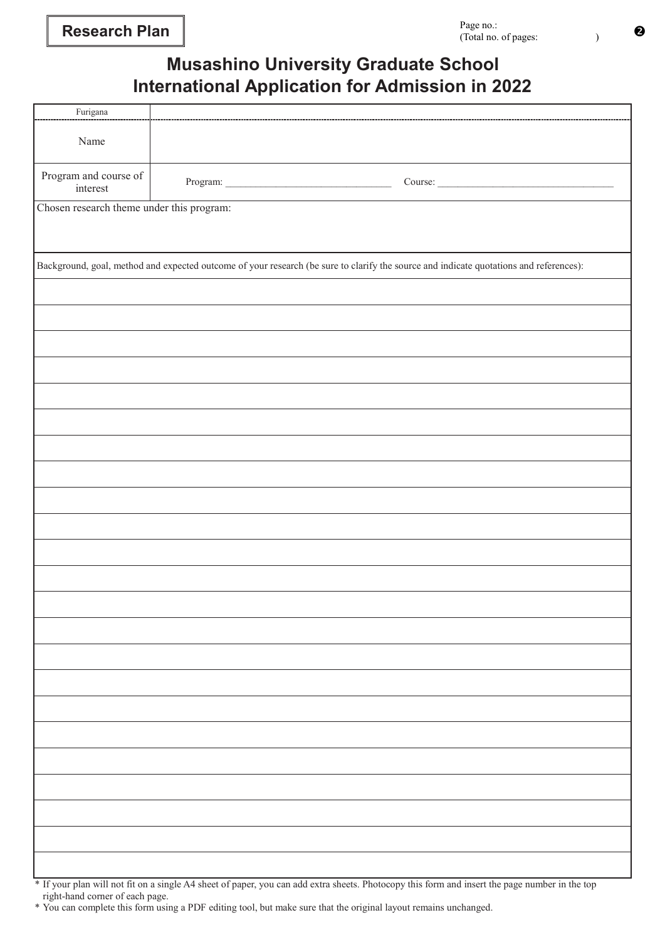### **Musashino University Graduate School International Application for Admission in 2022**

| $\operatorname{Furigana}$                 |                                                                                                                                        |
|-------------------------------------------|----------------------------------------------------------------------------------------------------------------------------------------|
|                                           |                                                                                                                                        |
| Name                                      |                                                                                                                                        |
| Program and course of<br>interest         | Course:                                                                                                                                |
| Chosen research theme under this program: |                                                                                                                                        |
|                                           |                                                                                                                                        |
|                                           | Background, goal, method and expected outcome of your research (be sure to clarify the source and indicate quotations and references): |
|                                           |                                                                                                                                        |
|                                           |                                                                                                                                        |
|                                           |                                                                                                                                        |
|                                           |                                                                                                                                        |
|                                           |                                                                                                                                        |
|                                           |                                                                                                                                        |
|                                           |                                                                                                                                        |
|                                           |                                                                                                                                        |
|                                           |                                                                                                                                        |
|                                           |                                                                                                                                        |
|                                           |                                                                                                                                        |
|                                           |                                                                                                                                        |
|                                           |                                                                                                                                        |
|                                           |                                                                                                                                        |
|                                           |                                                                                                                                        |
|                                           |                                                                                                                                        |
|                                           |                                                                                                                                        |
|                                           |                                                                                                                                        |
|                                           |                                                                                                                                        |
|                                           |                                                                                                                                        |
|                                           |                                                                                                                                        |
|                                           |                                                                                                                                        |

\* If your plan will not fit on a single A4 sheet of paper, you can add extra sheets. Photocopy this form and insert the page number in the top right-hand corner of each page.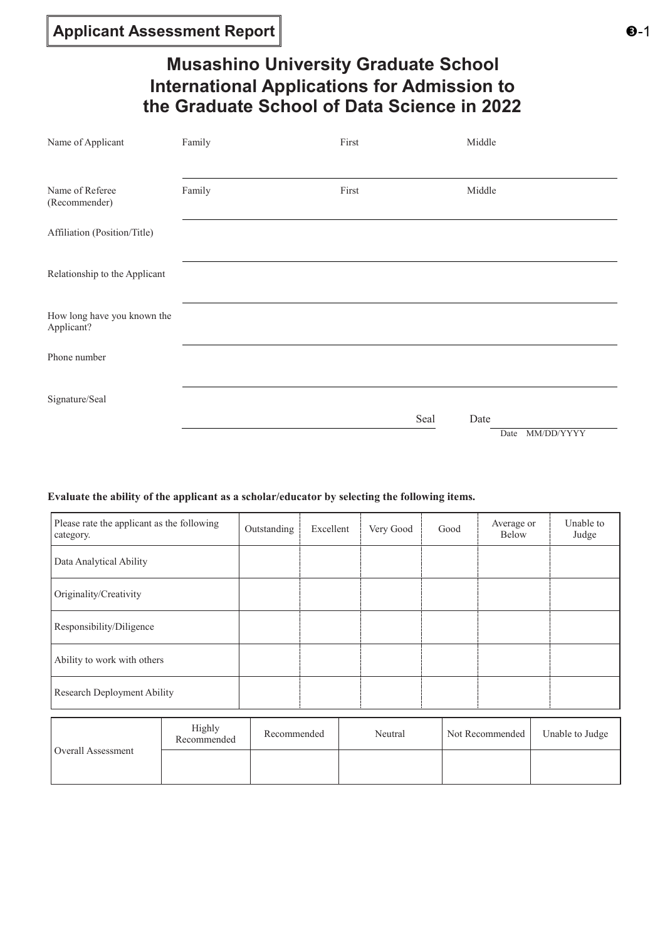### **Musashino University Graduate School International Applications for Admission to the Graduate School of Data Science in 2022**

| Name of Applicant                         | Family | First | Middle       |                    |
|-------------------------------------------|--------|-------|--------------|--------------------|
| Name of Referee<br>(Recommender)          | Family | First | Middle       |                    |
| Affiliation (Position/Title)              |        |       |              |                    |
| Relationship to the Applicant             |        |       |              |                    |
| How long have you known the<br>Applicant? |        |       |              |                    |
| Phone number                              |        |       |              |                    |
| Signature/Seal                            |        |       |              |                    |
|                                           |        |       | Seal<br>Date | MM/DD/YYYY<br>Date |

#### **Evaluate the ability of the applicant as a scholar/educator by selecting the following items.**

| Please rate the applicant as the following<br>category. | Outstanding | Excellent | Very Good | Good | Average or<br><b>Below</b> | Unable to<br>Judge |
|---------------------------------------------------------|-------------|-----------|-----------|------|----------------------------|--------------------|
| Data Analytical Ability                                 |             |           |           |      |                            |                    |
| Originality/Creativity                                  |             |           |           |      |                            |                    |
| Responsibility/Diligence                                |             |           |           |      |                            |                    |
| Ability to work with others                             |             |           |           |      |                            |                    |
| Research Deployment Ability                             |             |           |           |      |                            |                    |

| Overall Assessment | Highly<br>Recommended | Recommended | Neutral | Not Recommended | Unable to Judge |
|--------------------|-----------------------|-------------|---------|-----------------|-----------------|
|                    |                       |             |         |                 |                 |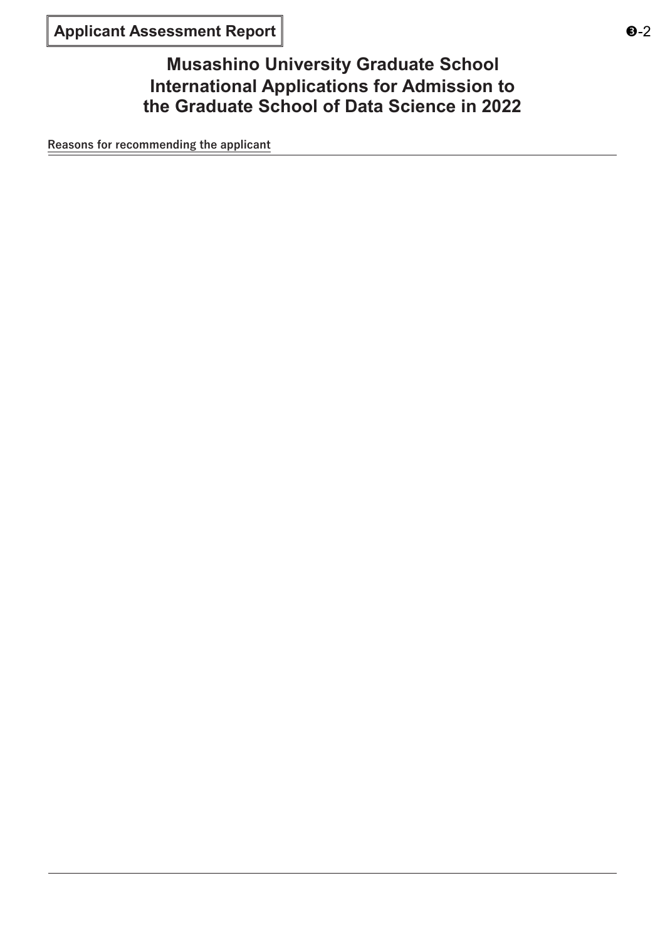**Musashino University Graduate School International Applications for Admission to the Graduate School of Data Science in 2022**

**Reasons for recommending the applicant**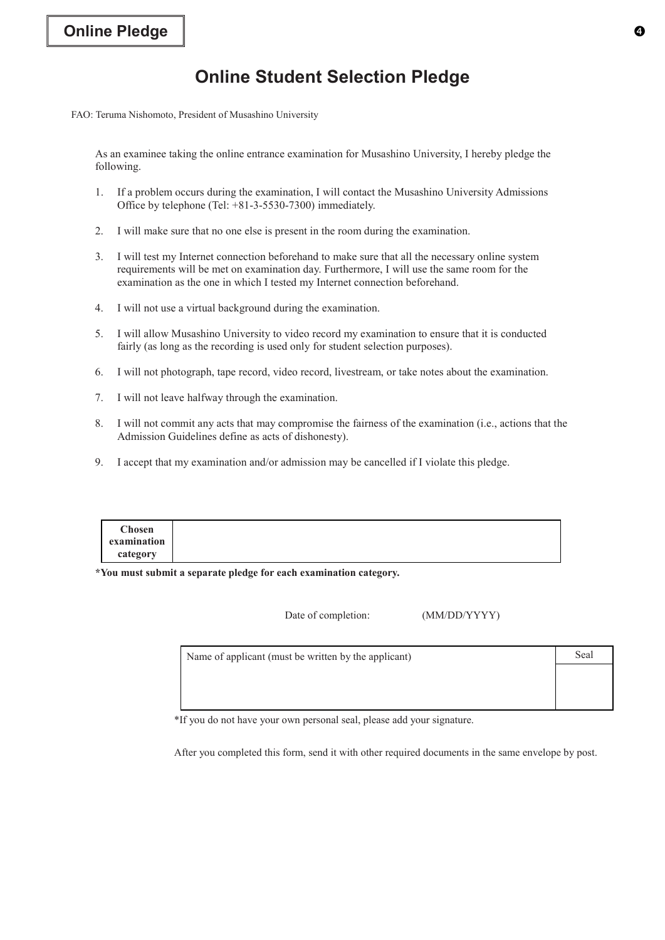### **Online Student Selection Pledge**

FAO: Teruma Nishomoto, President of Musashino University

As an examinee taking the online entrance examination for Musashino University, I hereby pledge the following.

- 1. If a problem occurs during the examination, I will contact the Musashino University Admissions Office by telephone (Tel: +81-3-5530-7300) immediately.
- 2. I will make sure that no one else is present in the room during the examination.
- 3. I will test my Internet connection beforehand to make sure that all the necessary online system requirements will be met on examination day. Furthermore, I will use the same room for the examination as the one in which I tested my Internet connection beforehand.
- 4. I will not use a virtual background during the examination.
- 5. I will allow Musashino University to video record my examination to ensure that it is conducted fairly (as long as the recording is used only for student selection purposes).
- 6. I will not photograph, tape record, video record, livestream, or take notes about the examination.
- 7. I will not leave halfway through the examination.
- 8. I will not commit any acts that may compromise the fairness of the examination (i.e., actions that the Admission Guidelines define as acts of dishonesty).
- 9. I accept that my examination and/or admission may be cancelled if I violate this pledge.

| <b>Chosen</b> |
|---------------|
| examination   |
| category      |

**\*You must submit a separate pledge for each examination category.**

Date of completion: (MM/DD/YYYY)

| Name of applicant (must be written by the applicant) | Seal |
|------------------------------------------------------|------|
|                                                      |      |
|                                                      |      |
|                                                      |      |

\*If you do not have your own personal seal, please add your signature.

After you completed this form, send it with other required documents in the same envelope by post.